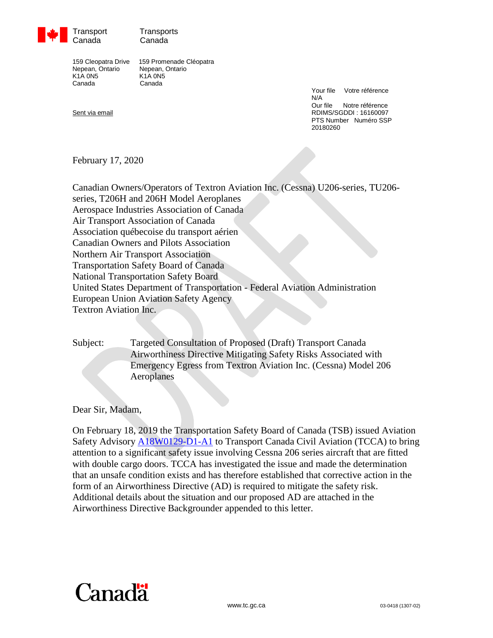

Transport Transports Canada Canada

Nepean, Ontario Nepean, Ontario K1A 0N5 K1A 0N5 Canada Canada

159 Cleopatra Drive 159 Promenade Cléopatra

Your file Votre référence N/A<br>Our file Notre référence Sent via email **Sent via email Sent via email and sent via email RDIMS/SGDDI** : 16160097 PTS Number Numéro SSP 20180260

February 17, 2020

Canadian Owners/Operators of Textron Aviation Inc. (Cessna) U206-series, TU206 series, T206H and 206H Model Aeroplanes Aerospace Industries Association of Canada Air Transport Association of Canada Association québecoise du transport aérien Canadian Owners and Pilots Association Northern Air Transport Association Transportation Safety Board of Canada National Transportation Safety Board United States Department of Transportation - Federal Aviation Administration European Union Aviation Safety Agency Textron Aviation Inc.

Subject: Targeted Consultation of Proposed (Draft) Transport Canada Airworthiness Directive Mitigating Safety Risks Associated with Emergency Egress from Textron Aviation Inc. (Cessna) Model 206 Aeroplanes

Dear Sir, Madam,

On February 18, 2019 the Transportation Safety Board of Canada (TSB) issued Aviation Safety Advisory [A18W0129-D1-A1](https://www.tsb.gc.ca/eng/securite-safety/aviation/2018/a18w0129/a18w0129-d1-a1.html) to Transport Canada Civil Aviation (TCCA) to bring attention to a significant safety issue involving Cessna 206 series aircraft that are fitted with double cargo doors. TCCA has investigated the issue and made the determination that an unsafe condition exists and has therefore established that corrective action in the form of an Airworthiness Directive (AD) is required to mitigate the safety risk. Additional details about the situation and our proposed AD are attached in the Airworthiness Directive Backgrounder appended to this letter.

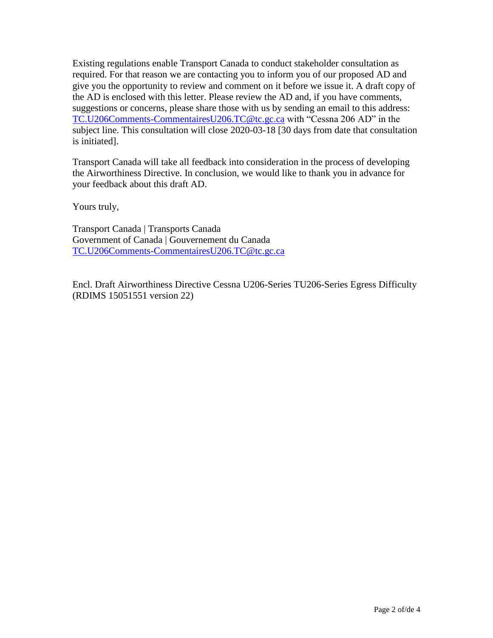Existing regulations enable Transport Canada to conduct stakeholder consultation as required. For that reason we are contacting you to inform you of our proposed AD and give you the opportunity to review and comment on it before we issue it. A draft copy of the AD is enclosed with this letter. Please review the AD and, if you have comments, suggestions or concerns, please share those with us by sending an email to this address: [TC.U206Comments-CommentairesU206.TC@tc.gc.ca](mailto:TC.U206Comments-CommentairesU206.TC@tc.gc.ca) with "Cessna 206 AD" in the subject line. This consultation will close 2020-03-18 [30 days from date that consultation is initiated].

Transport Canada will take all feedback into consideration in the process of developing the Airworthiness Directive. In conclusion, we would like to thank you in advance for your feedback about this draft AD.

Yours truly,

Transport Canada | Transports Canada Government of Canada | Gouvernement du Canada [TC.U206Comments-CommentairesU206.TC@tc.gc.ca](mailto:TC.U206Comments-CommentairesU206.TC@tc.gc.ca)

Encl. Draft Airworthiness Directive Cessna U206-Series TU206-Series Egress Difficulty (RDIMS 15051551 version 22)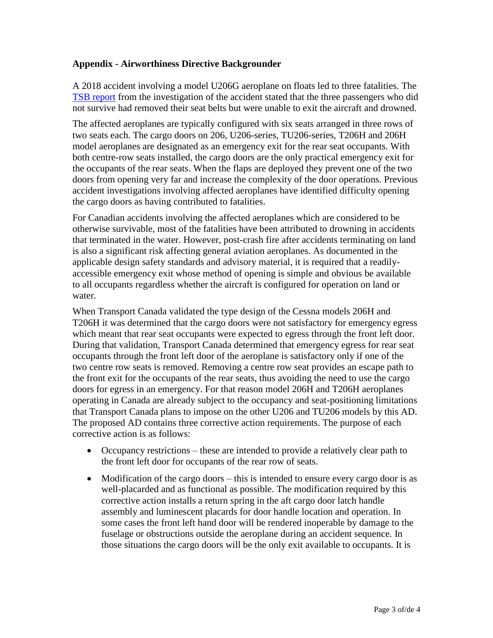## **Appendix - Airworthiness Directive Backgrounder**

A 2018 accident involving a model U206G aeroplane on floats led to three fatalities. The [TSB report](https://www.tsb.gc.ca/eng/enquetes-investigations/aviation/2018/a18w0129/a18w0129.html) from the investigation of the accident stated that the three passengers who did not survive had removed their seat belts but were unable to exit the aircraft and drowned.

The affected aeroplanes are typically configured with six seats arranged in three rows of two seats each. The cargo doors on 206, U206-series, TU206-series, T206H and 206H model aeroplanes are designated as an emergency exit for the rear seat occupants. With both centre-row seats installed, the cargo doors are the only practical emergency exit for the occupants of the rear seats. When the flaps are deployed they prevent one of the two doors from opening very far and increase the complexity of the door operations. Previous accident investigations involving affected aeroplanes have identified difficulty opening the cargo doors as having contributed to fatalities.

For Canadian accidents involving the affected aeroplanes which are considered to be otherwise survivable, most of the fatalities have been attributed to drowning in accidents that terminated in the water. However, post-crash fire after accidents terminating on land is also a significant risk affecting general aviation aeroplanes. As documented in the applicable design safety standards and advisory material, it is required that a readilyaccessible emergency exit whose method of opening is simple and obvious be available to all occupants regardless whether the aircraft is configured for operation on land or water.

When Transport Canada validated the type design of the Cessna models 206H and T206H it was determined that the cargo doors were not satisfactory for emergency egress which meant that rear seat occupants were expected to egress through the front left door. During that validation, Transport Canada determined that emergency egress for rear seat occupants through the front left door of the aeroplane is satisfactory only if one of the two centre row seats is removed. Removing a centre row seat provides an escape path to the front exit for the occupants of the rear seats, thus avoiding the need to use the cargo doors for egress in an emergency. For that reason model 206H and T206H aeroplanes operating in Canada are already subject to the occupancy and seat-positioning limitations that Transport Canada plans to impose on the other U206 and TU206 models by this AD. The proposed AD contains three corrective action requirements. The purpose of each corrective action is as follows:

- Occupancy restrictions these are intended to provide a relatively clear path to the front left door for occupants of the rear row of seats.
- Modification of the cargo doors this is intended to ensure every cargo door is as well-placarded and as functional as possible. The modification required by this corrective action installs a return spring in the aft cargo door latch handle assembly and luminescent placards for door handle location and operation. In some cases the front left hand door will be rendered inoperable by damage to the fuselage or obstructions outside the aeroplane during an accident sequence. In those situations the cargo doors will be the only exit available to occupants. It is